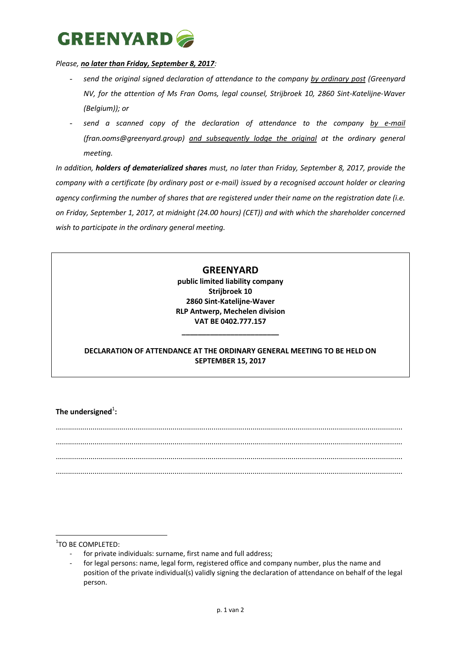## **GREENYARD**

## *Please, no later than Friday, September 8, 2017:*

- send the original signed declaration of attendance to the company by ordinary post (Greenyard *NV, for the attention of Ms Fran Ooms, legal counsel, Strijbroek 10, 2860 Sint-Katelijne-Waver (Belgium)); or*
- send a scanned copy of the declaration of attendance to the company by e-mail *(fran.ooms@greenyard.group) and subsequently lodge the original at the ordinary general meeting.*

*In addition, holders of dematerialized shares must, no later than Friday, September 8, 2017, provide the company with a certificate (by ordinary post or e-mail) issued by a recognised account holder or clearing agency confirming the number of shares that are registered under their name on the registration date (i.e. on Friday, September 1, 2017, at midnight (24.00 hours) (CET)) and with which the shareholder concerned wish to participate in the ordinary general meeting.*

## **GREENYARD**

**public limited liability company Strijbroek 10 2860 Sint-Katelijne-Waver RLP Antwerp, Mechelen division VAT BE 0402.777.157**

## **DECLARATION OF ATTENDANCE AT THE ORDINARY GENERAL MEETING TO BE HELD ON SEPTEMBER 15, 2017**

**\_\_\_\_\_\_\_\_\_\_\_\_\_\_\_\_\_\_\_\_\_\_\_\_**

The undersigned<sup>1</sup>:

......................................................................................................................................................................... ......................................................................................................................................................................... ......................................................................................................................................................................... .........................................................................................................................................................................

1 TO BE COMPLETED:

**.** 

- for private individuals: surname, first name and full address;
- for legal persons: name, legal form, registered office and company number, plus the name and position of the private individual(s) validly signing the declaration of attendance on behalf of the legal person.